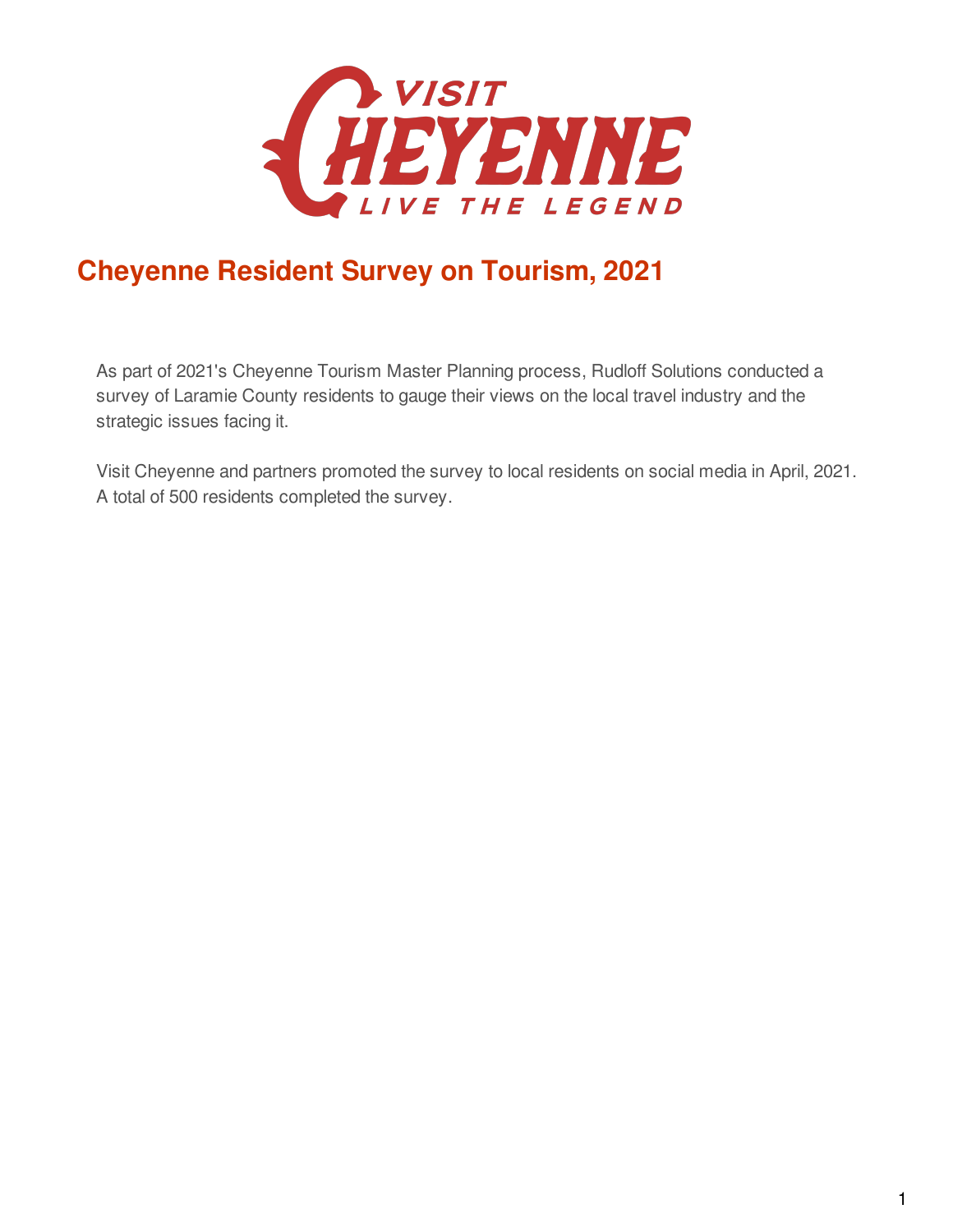

## **Cheyenne Resident Survey on Tourism, 2021**

As part of 2021's Cheyenne Tourism Master Planning process, Rudloff Solutions conducted a survey of Laramie County residents to gauge their views on the local travel industry and the strategic issues facing it.

Visit Cheyenne and partners promoted the survey to local residents on social media in April, 2021. A total of 500 residents completed the survey.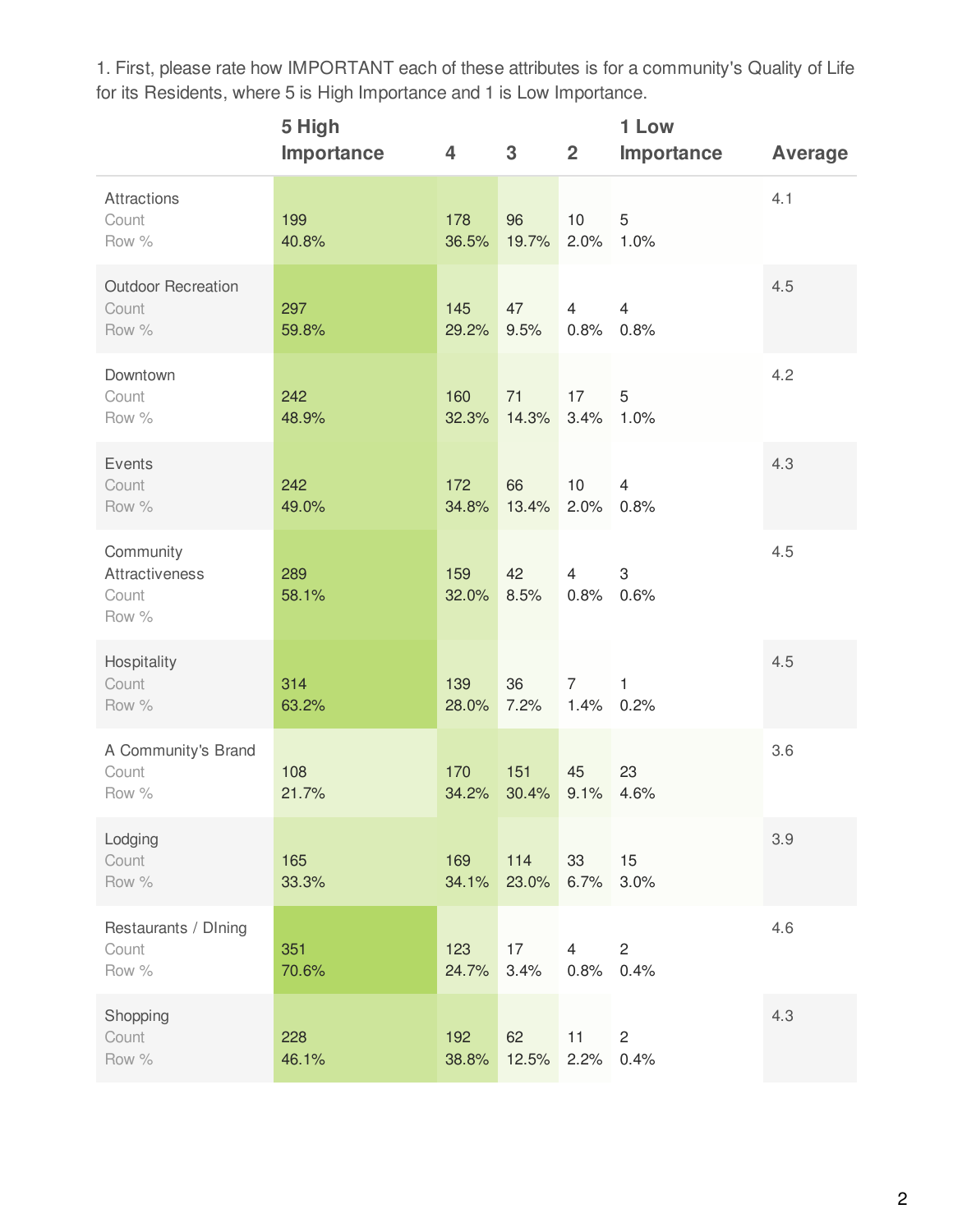1. First, please rate how IMPORTANT each of these attributes is for a community's Quality of Life for its Residents, where 5 is High Importance and 1 is Low Importance.

|                                               | 5 High<br>Importance | 4            | $3\phantom{a}$ | $\overline{2}$         | 1 Low<br>Importance    | <b>Average</b> |
|-----------------------------------------------|----------------------|--------------|----------------|------------------------|------------------------|----------------|
| Attractions<br>Count<br>Row %                 | 199<br>40.8%         | 178<br>36.5% | 96<br>19.7%    | 10<br>2.0%             | 5<br>1.0%              | 4.1            |
| <b>Outdoor Recreation</b><br>Count<br>Row %   | 297<br>59.8%         | 145<br>29.2% | 47<br>9.5%     | 4<br>0.8%              | $\overline{4}$<br>0.8% | 4.5            |
| Downtown<br>Count<br>Row %                    | 242<br>48.9%         | 160<br>32.3% | 71<br>14.3%    | 17<br>3.4%             | 5<br>1.0%              | 4.2            |
| Events<br>Count<br>Row %                      | 242<br>49.0%         | 172<br>34.8% | 66<br>13.4%    | 10<br>2.0%             | $\overline{4}$<br>0.8% | 4.3            |
| Community<br>Attractiveness<br>Count<br>Row % | 289<br>58.1%         | 159<br>32.0% | 42<br>8.5%     | $\overline{4}$<br>0.8% | 3<br>0.6%              | 4.5            |
| Hospitality<br>Count<br>Row %                 | 314<br>63.2%         | 139<br>28.0% | 36<br>7.2%     | $\overline{7}$<br>1.4% | $\mathbf{1}$<br>0.2%   | 4.5            |
| A Community's Brand<br>Count<br>Row %         | 108<br>21.7%         | 170<br>34.2% | 151<br>30.4%   | 45<br>9.1%             | 23<br>4.6%             | 3.6            |
| Lodging<br>Count<br>Row %                     | 165<br>33.3%         | 169<br>34.1% | 114<br>23.0%   | 33<br>6.7%             | 15<br>3.0%             | 3.9            |
| Restaurants / Dlning<br>Count<br>Row %        | 351<br>70.6%         | 123<br>24.7% | 17<br>3.4%     | 4<br>0.8%              | $\overline{c}$<br>0.4% | 4.6            |
| Shopping<br>Count<br>Row %                    | 228<br>46.1%         | 192<br>38.8% | 62<br>12.5%    | 11<br>2.2%             | $\overline{c}$<br>0.4% | 4.3            |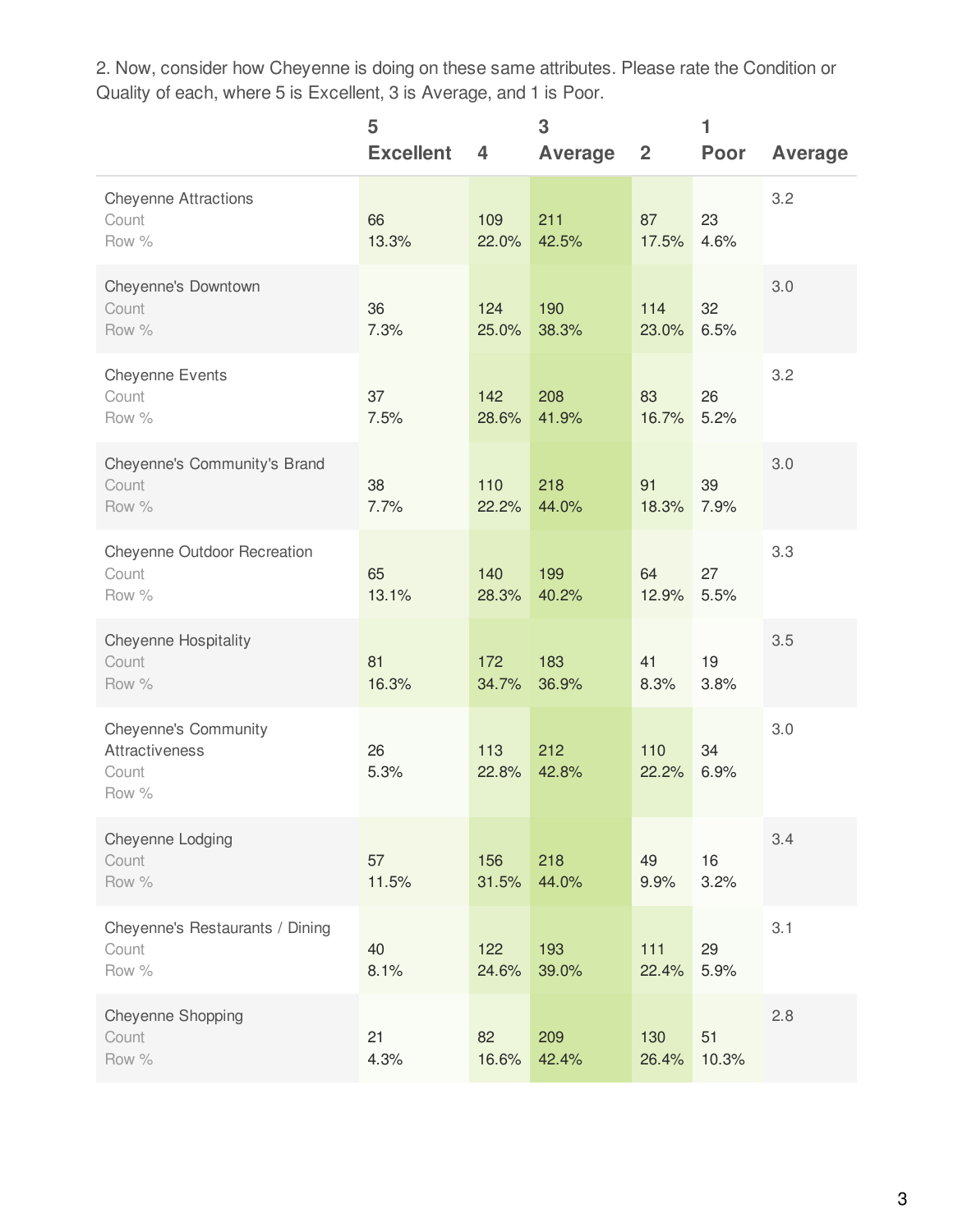2. Now, consider how Cheyenne is doing on these same attributes. Please rate the Condition or Quality of each, where 5 is Excellent, 3 is Average, and 1 is Poor.

|                                                                        | 5<br><b>Excellent</b> | 4            | 3<br><b>Average</b> | $\overline{2}$ | 1<br><b>Poor</b> | <b>Average</b> |
|------------------------------------------------------------------------|-----------------------|--------------|---------------------|----------------|------------------|----------------|
| <b>Cheyenne Attractions</b><br>Count<br>Row %                          | 66<br>13.3%           | 109<br>22.0% | 211<br>42.5%        | 87<br>17.5%    | 23<br>4.6%       | 3.2            |
| Cheyenne's Downtown<br>Count<br>Row %                                  | 36<br>7.3%            | 124<br>25.0% | 190<br>38.3%        | 114<br>23.0%   | 32<br>6.5%       | 3.0            |
| <b>Cheyenne Events</b><br>Count<br>Row %                               | 37<br>7.5%            | 142<br>28.6% | 208<br>41.9%        | 83<br>16.7%    | 26<br>5.2%       | 3.2            |
| Cheyenne's Community's Brand<br>Count<br>Row %                         | 38<br>7.7%            | 110<br>22.2% | 218<br>44.0%        | 91<br>18.3%    | 39<br>7.9%       | 3.0            |
| Cheyenne Outdoor Recreation<br>Count<br>Row %                          | 65<br>13.1%           | 140<br>28.3% | 199<br>40.2%        | 64<br>12.9%    | 27<br>5.5%       | 3.3            |
| <b>Cheyenne Hospitality</b><br>Count<br>Row %                          | 81<br>16.3%           | 172<br>34.7% | 183<br>36.9%        | 41<br>8.3%     | 19<br>3.8%       | 3.5            |
| <b>Cheyenne's Community</b><br><b>Attractiveness</b><br>Count<br>Row % | 26<br>5.3%            | 113<br>22.8% | 212<br>42.8%        | 110<br>22.2%   | 34<br>6.9%       | 3.0            |
| Cheyenne Lodging<br>Count<br>Row %                                     | 57<br>11.5%           | 156<br>31.5% | 218<br>44.0%        | 49<br>9.9%     | 16<br>3.2%       | 3.4            |
| Cheyenne's Restaurants / Dining<br>Count<br>Row %                      | 40<br>8.1%            | 122<br>24.6% | 193<br>39.0%        | $111$<br>22.4% | 29<br>5.9%       | 3.1            |
| Cheyenne Shopping<br>Count<br>Row %                                    | 21<br>4.3%            | 82<br>16.6%  | 209<br>42.4%        | 130<br>26.4%   | 51<br>10.3%      | 2.8            |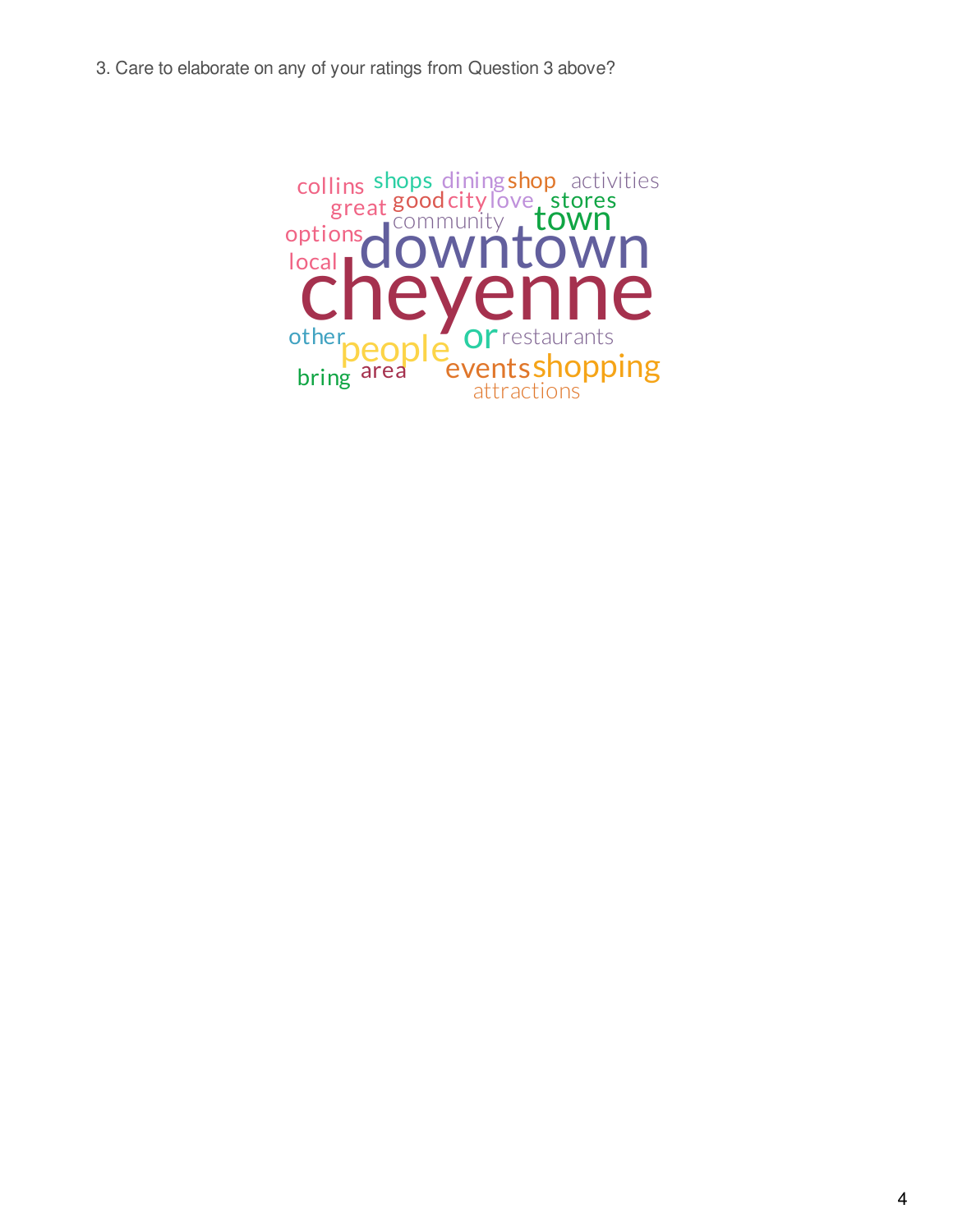3. Care to elaborate on any of your ratings from Question 3 above?

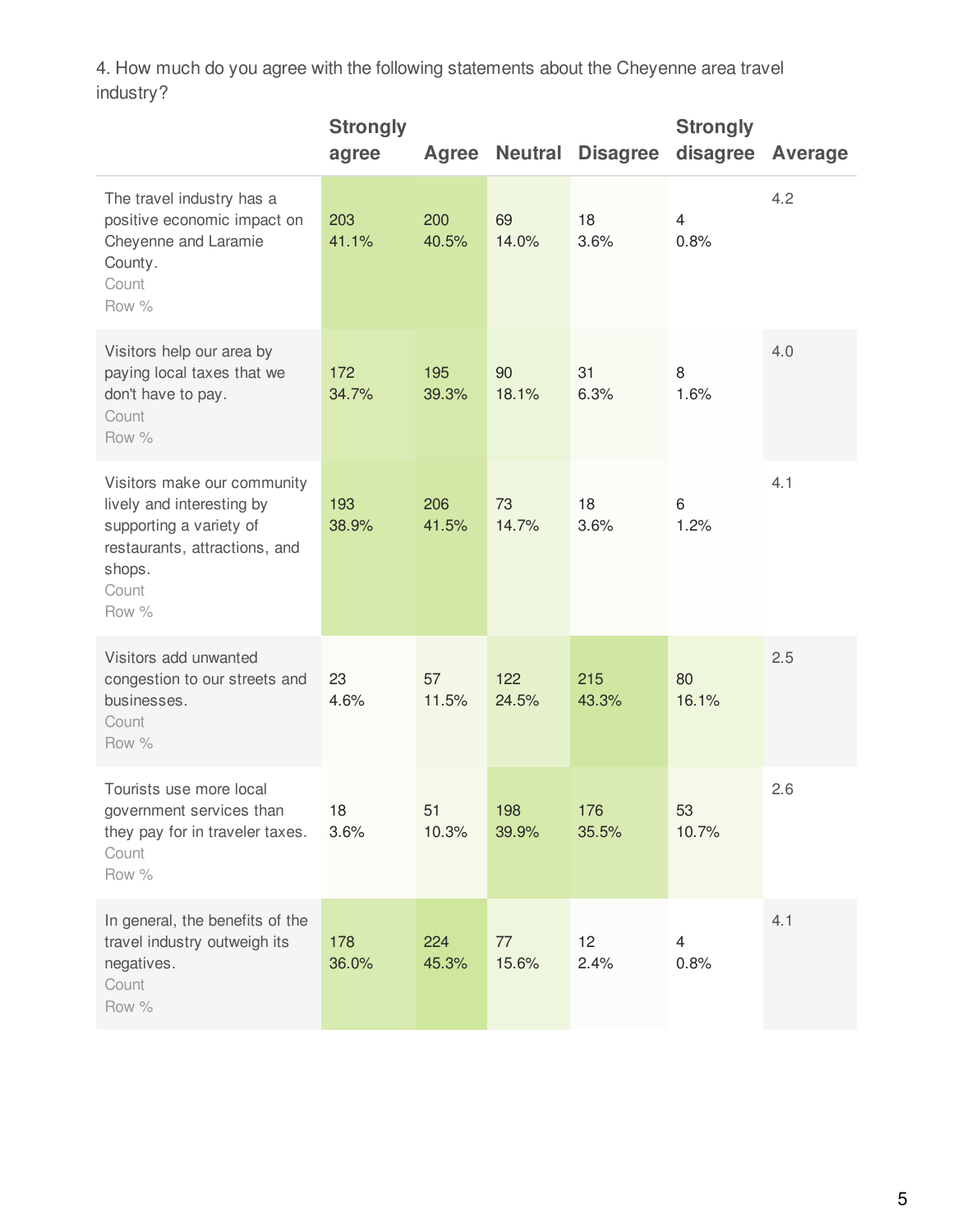4. How much do you agree with the following statements about the Cheyenne area travel industry?

|                                                                                                                                                  | <b>Strongly</b><br>agree | Agree        |              | <b>Neutral Disagree</b> | <b>Strongly</b><br>disagree | Average |
|--------------------------------------------------------------------------------------------------------------------------------------------------|--------------------------|--------------|--------------|-------------------------|-----------------------------|---------|
| The travel industry has a<br>positive economic impact on<br>Cheyenne and Laramie<br>County.<br>Count<br>Row %                                    | 203<br>41.1%             | 200<br>40.5% | 69<br>14.0%  | 18<br>3.6%              | $\overline{4}$<br>0.8%      | 4.2     |
| Visitors help our area by<br>paying local taxes that we<br>don't have to pay.<br>Count<br>Row %                                                  | 172<br>34.7%             | 195<br>39.3% | 90<br>18.1%  | 31<br>6.3%              | 8<br>1.6%                   | 4.0     |
| Visitors make our community<br>lively and interesting by<br>supporting a variety of<br>restaurants, attractions, and<br>shops.<br>Count<br>Row % | 193<br>38.9%             | 206<br>41.5% | 73<br>14.7%  | 18<br>3.6%              | 6<br>1.2%                   | 4.1     |
| Visitors add unwanted<br>congestion to our streets and<br>businesses.<br>Count<br>Row %                                                          | 23<br>4.6%               | 57<br>11.5%  | 122<br>24.5% | 215<br>43.3%            | 80<br>16.1%                 | 2.5     |
| Tourists use more local<br>government services than<br>they pay for in traveler taxes.<br>Count<br>Row %                                         | 18<br>3.6%               | 51<br>10.3%  | 198<br>39.9% | 176<br>35.5%            | 53<br>10.7%                 | 2.6     |
| In general, the benefits of the<br>travel industry outweigh its<br>negatives.<br>Count<br>Row %                                                  | 178<br>36.0%             | 224<br>45.3% | 77<br>15.6%  | 12<br>2.4%              | $\overline{4}$<br>0.8%      | 4.1     |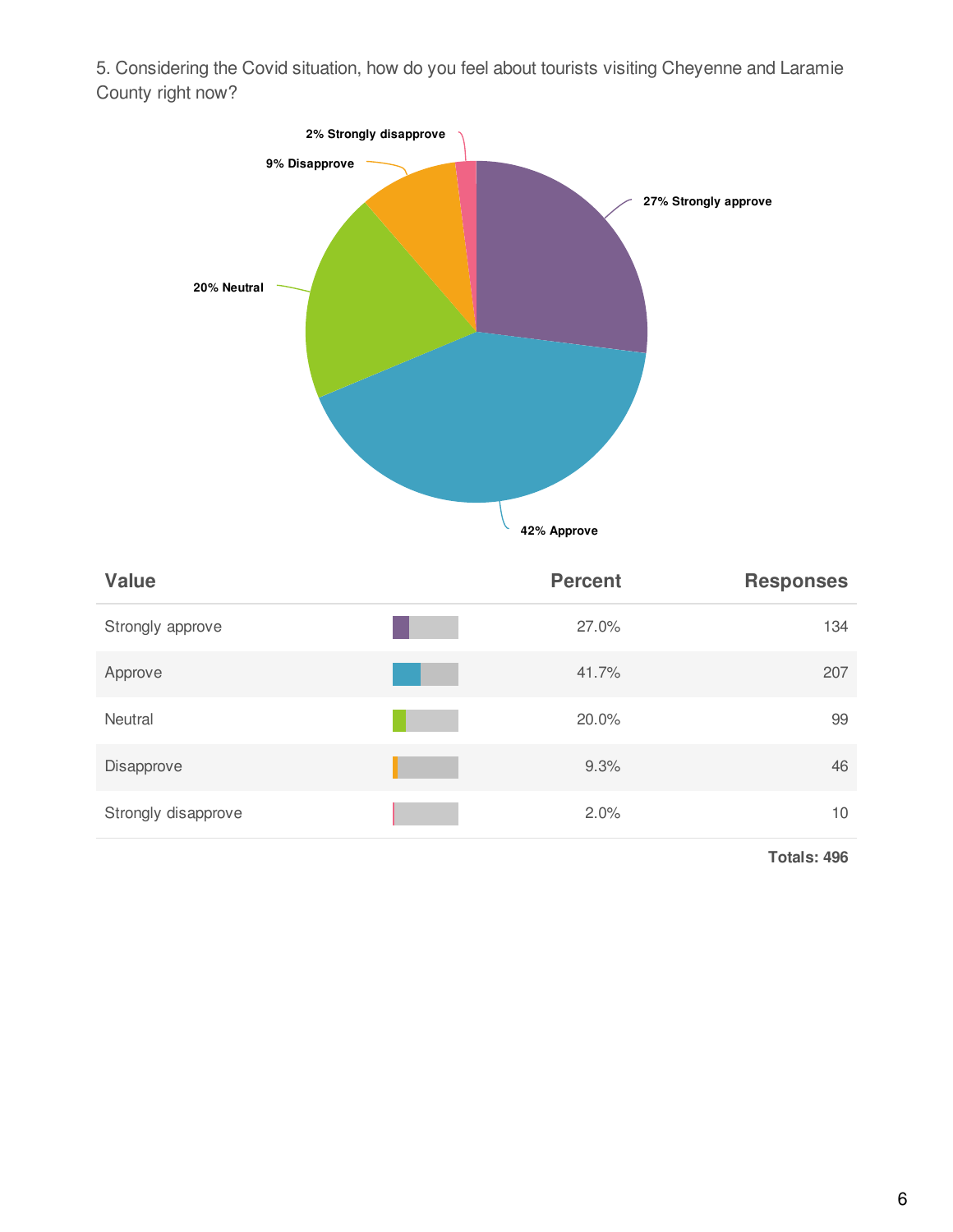5. Considering the Covid situation, how do you feel about tourists visiting Cheyenne and Laramie County right now?



| <b>Value</b>        | <b>Percent</b> | <b>Responses</b> |
|---------------------|----------------|------------------|
| Strongly approve    | 27.0%          | 134              |
| Approve             | 41.7%          | 207              |
| Neutral             | 20.0%          | 99               |
| Disapprove          | 9.3%           | 46               |
| Strongly disapprove | 2.0%           | 10               |

**Totals: 496**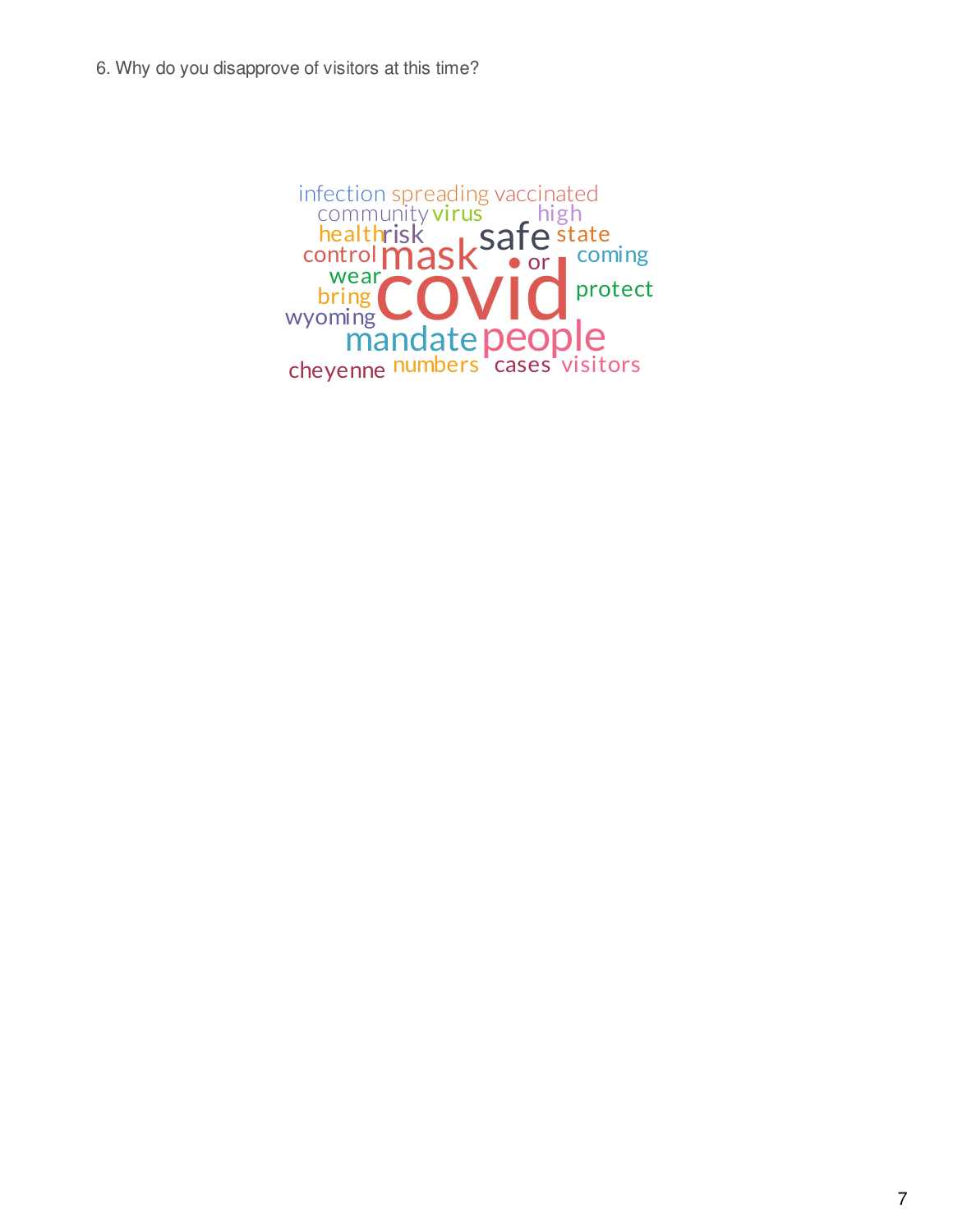mask cord control mask people safe state mandate p risk community virus high cheyenne <sup>numbers</sup> cases visitors health infection spreading vaccinated • or l protect wear<sup>'</sup> wyoming bring coming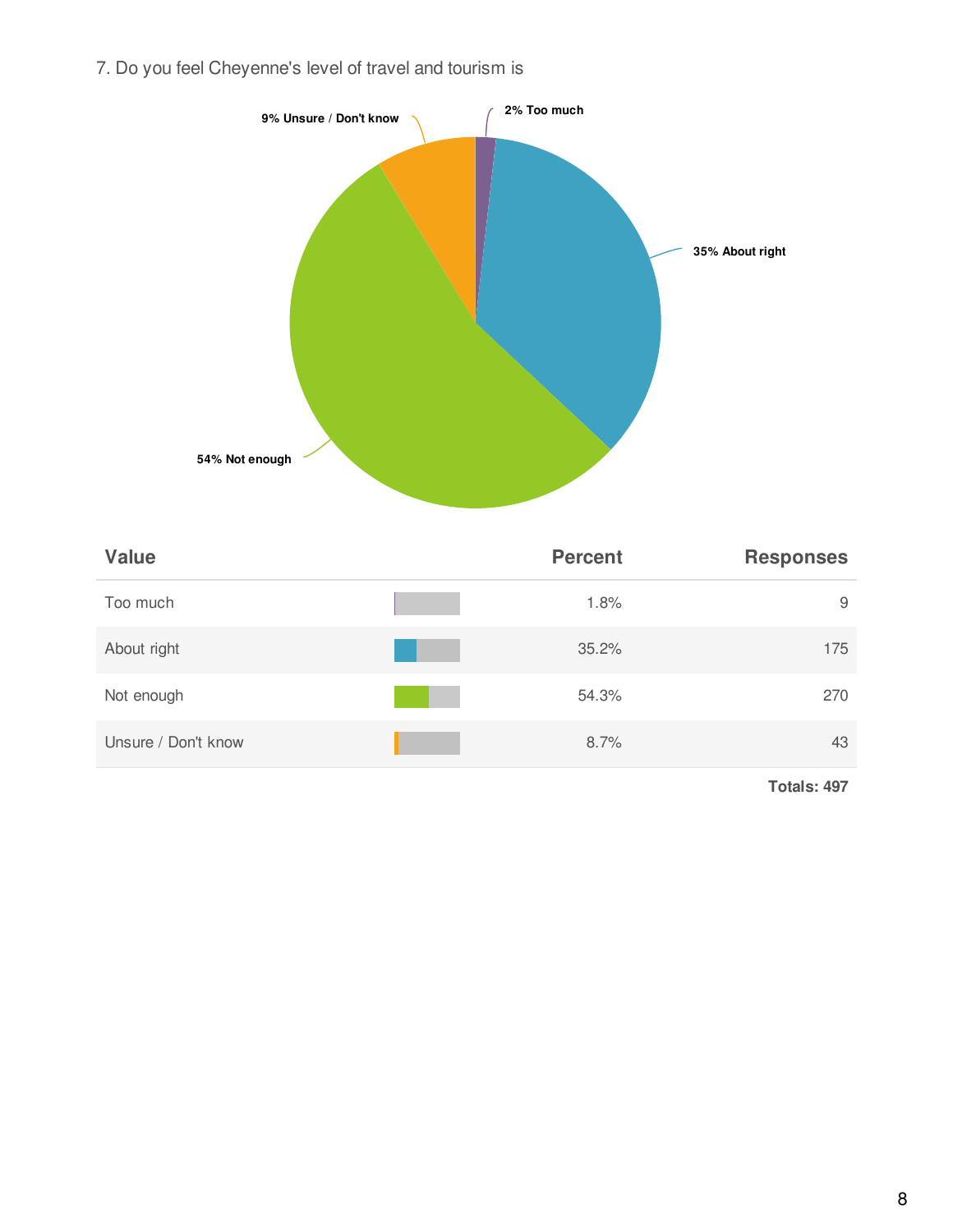7. Do you feel Cheyenne's level of travel and tourism is



| <b>Value</b>        | <b>Percent</b> | <b>Responses</b> |
|---------------------|----------------|------------------|
| Too much            | 1.8%           | 9                |
| About right         | 35.2%          | 175              |
| Not enough          | 54.3%          | 270              |
| Unsure / Don't know | 8.7%           | 43               |

**Totals: 497**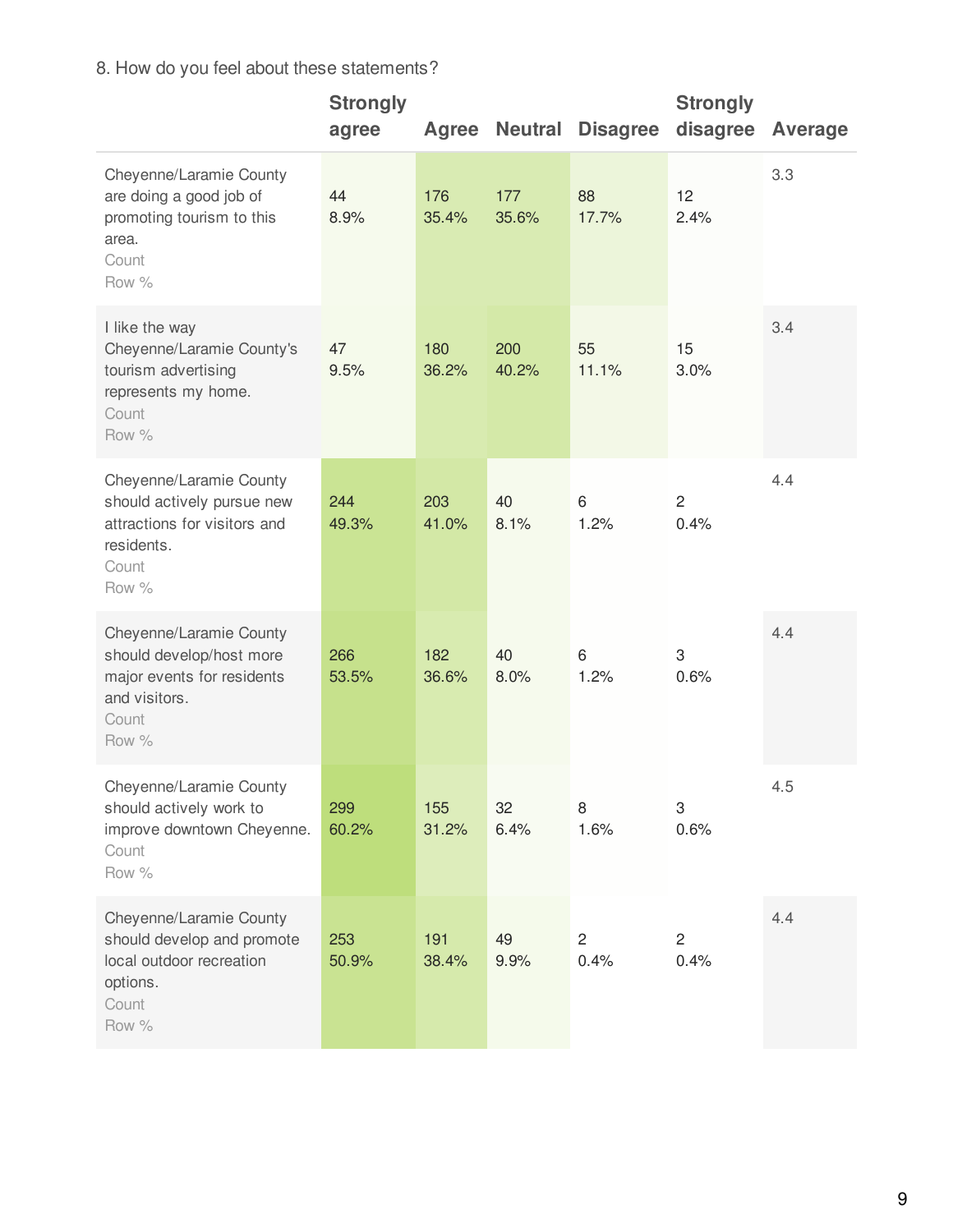## 8. How do you feel about these statements?

|                                                                                                                       | <b>Strongly</b><br>agree | Agree        | <b>Neutral</b> | <b>Disagree</b>      | <b>Strongly</b><br>disagree | Average |
|-----------------------------------------------------------------------------------------------------------------------|--------------------------|--------------|----------------|----------------------|-----------------------------|---------|
| Cheyenne/Laramie County<br>are doing a good job of<br>promoting tourism to this<br>area.<br>Count<br>Row %            | 44<br>8.9%               | 176<br>35.4% | 177<br>35.6%   | 88<br>17.7%          | 12<br>2.4%                  | 3.3     |
| I like the way<br>Cheyenne/Laramie County's<br>tourism advertising<br>represents my home.<br>Count<br>Row %           | 47<br>9.5%               | 180<br>36.2% | 200<br>40.2%   | 55<br>11.1%          | 15<br>3.0%                  | 3.4     |
| Cheyenne/Laramie County<br>should actively pursue new<br>attractions for visitors and<br>residents.<br>Count<br>Row % | 244<br>49.3%             | 203<br>41.0% | 40<br>8.1%     | 6<br>1.2%            | $\overline{c}$<br>0.4%      | 4.4     |
| Cheyenne/Laramie County<br>should develop/host more<br>major events for residents<br>and visitors.<br>Count<br>Row %  | 266<br>53.5%             | 182<br>36.6% | 40<br>8.0%     | 6<br>1.2%            | 3<br>0.6%                   | 4.4     |
| Cheyenne/Laramie County<br>should actively work to<br>improve downtown Cheyenne.<br>Count<br>Row %                    | 299<br>60.2%             | 155<br>31.2% | 32<br>6.4%     | 8<br>1.6%            | 3<br>0.6%                   | 4.5     |
| Cheyenne/Laramie County<br>should develop and promote<br>local outdoor recreation<br>options.<br>Count<br>Row %       | 253<br>50.9%             | 191<br>38.4% | 49<br>9.9%     | $\mathbf{2}$<br>0.4% | $\overline{2}$<br>0.4%      | 4.4     |